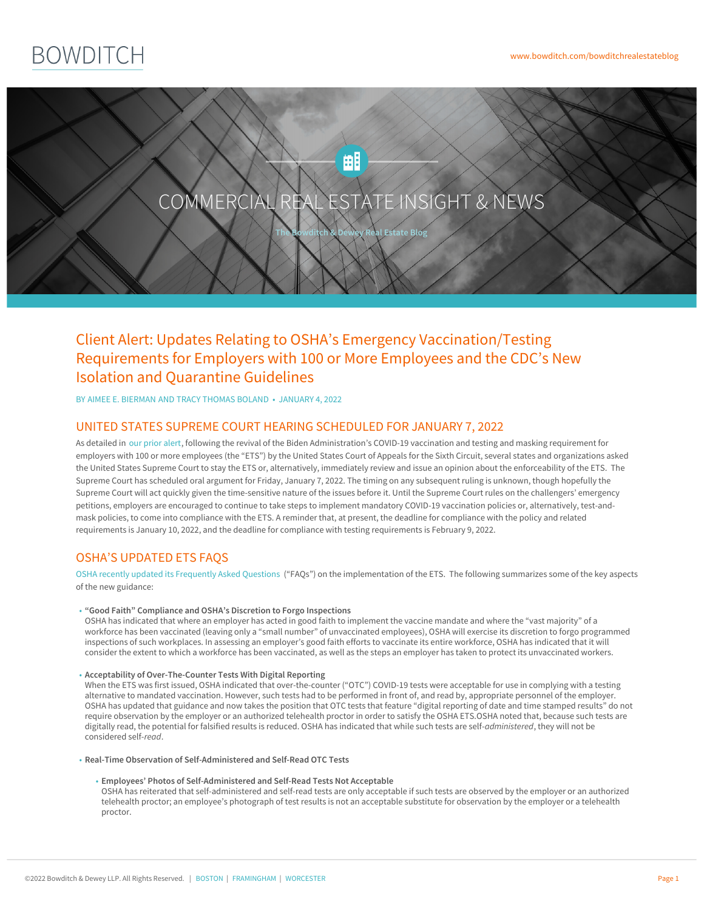

# Client Alert: Updates Relating to OSHA's Emergency Vaccination/Testing Requirements for Employers with 100 or More Employees and the CDC's New Isolation and Quarantine Guidelines

BY AIMEE E. [BIERMAN](https://www.bowditch.com/attorney/aimee-e-bierman) AND TRACY [THOMAS](https://www.bowditch.com/attorney/tracy-thomas-boland) BOLAND • JANUARY 4, 2022

## UNITED STATES SUPREME COURT HEARING SCHEDULED FOR JANUARY 7, 2022

As detailed in our [prior](https://www.bowditch.com/2021/12/20/client-alert-sixth-circuit-breathes-new-life-into-oshas-emergency-temporary-standard-mandating-vaccination-or-testing-for-private-employers-with-100-or-more-employees/) alert, following the revival of the Biden Administration's COVID-19 vaccination and testing and masking requirement for employers with 100 or more employees (the "ETS") by the United States Court of Appeals for the Sixth Circuit, several states and organizations asked the United States Supreme Court to stay the ETS or, alternatively, immediately review and issue an opinion about the enforceability of the ETS. The Supreme Court has scheduled oral argument for Friday, January 7, 2022. The timing on any subsequent ruling is unknown, though hopefully the Supreme Court will act quickly given the time-sensitive nature of the issues before it. Until the Supreme Court rules on the challengers' emergency petitions, employers are encouraged to continue to take steps to implement mandatory COVID-19 vaccination policies or, alternatively, test-andmask policies, to come into compliance with the ETS. A reminder that, at present, the deadline for compliance with the policy and related requirements is January 10, 2022, and the deadline for compliance with testing requirements is February 9, 2022.

# OSHA'S UPDATED ETS FAQS

OSHA recently updated its [Frequently](https://www.osha.gov/coronavirus/ets2/faqs) Asked Questions ("FAQs") on the implementation of the ETS. The following summarizes some of the key aspects of the new guidance:

#### **"Good Faith" Compliance and OSHA's Discretion to Forgo Inspections** •

OSHA has indicated that where an employer has acted in good faith to implement the vaccine mandate and where the "vast majority" of a workforce has been vaccinated (leaving only a "small number" of unvaccinated employees), OSHA will exercise its discretion to forgo programmed inspections of such workplaces. In assessing an employer's good faith efforts to vaccinate its entire workforce, OSHA has indicated that it will consider the extent to which a workforce has been vaccinated, as well as the steps an employer has taken to protect its unvaccinated workers.

#### **Acceptability of Over-The-Counter Tests With Digital Reporting** •

When the ETS was first issued, OSHA indicated that over-the-counter ("OTC") COVID-19 tests were acceptable for use in complying with a testing alternative to mandated vaccination. However, such tests had to be performed in front of, and read by, appropriate personnel of the employer. OSHA has updated that guidance and now takes the position that OTC tests that feature "digital reporting of date and time stamped results" do not require observation by the employer or an authorized telehealth proctor in order to satisfy the OSHA ETS.OSHA noted that, because such tests are digitally read, the potential for falsified results is reduced. OSHA has indicated that while such tests are self-*administered*, they will not be considered self-*read*.

- **Real-Time Observation of Self-Administered and Self-Read OTC Tests**
	- **Employees' Photos of Self-Administered and Self-Read Tests Not Acceptable** •

OSHA has reiterated that [self-adm](https://www.bowditch.com/?p=174)i[nistered](https://www.bowditch.com/?p=176) and s[elf-read](https://www.bowditch.com/?p=175) tests are only acceptable if such tests are observed by the employer or an authorized telehealth proctor; an employee's photograph of test results is not an acceptable substitute for observation by the employer or a telehealth proctor.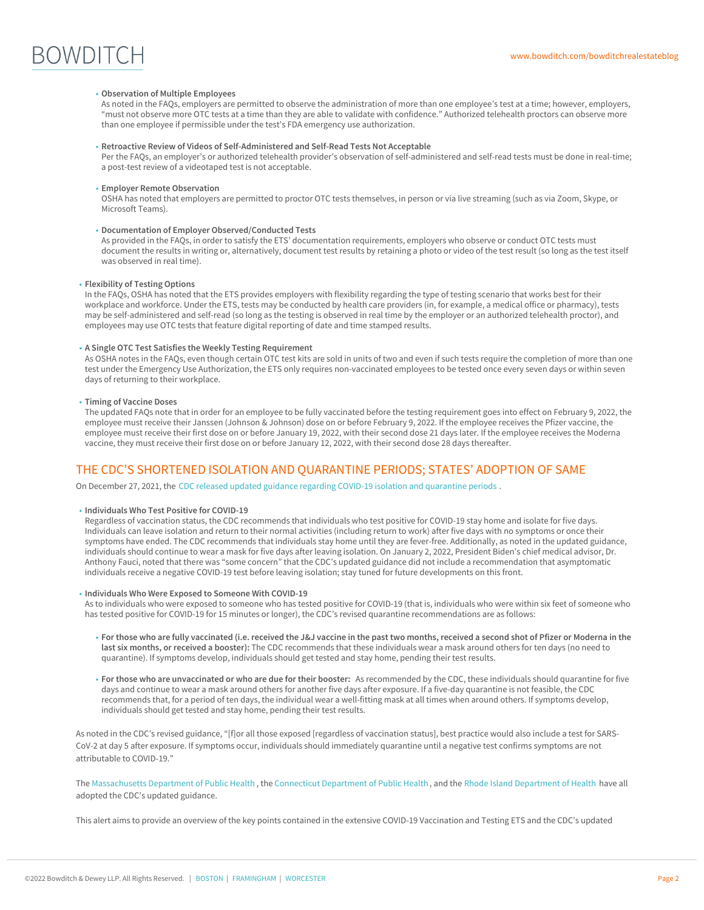# **BOWDITCH**

#### **Observation of Multiple Employees** •

As noted in the FAQs, employers are permitted to observe the administration of more than one employee's test at a time; however, employers, "must not observe more OTC tests at a time than they are able to validate with confidence." Authorized telehealth proctors can observe more than one employee if permissible under the test's FDA emergency use authorization.

#### **Retroactive Review of Videos of Self-Administered and Self-Read Tests Not Acceptable** •

Per the FAQs, an employer's or authorized telehealth provider's observation of self-administered and self-read tests must be done in real-time; a post-test review of a videotaped test is not acceptable.

#### **Employer Remote Observation** •

OSHA has noted that employers are permitted to proctor OTC tests themselves, in person or via live streaming (such as via Zoom, Skype, or Microsoft Teams).

#### **Documentation of Employer Observed/Conducted Tests** •

As provided in the FAQs, in order to satisfy the ETS' documentation requirements, employers who observe or conduct OTC tests must document the results in writing or, alternatively, document test results by retaining a photo or video of the test result (so long as the test itself was observed in real time).

#### **Flexibility of Testing Options** •

In the FAQs, OSHA has noted that the ETS provides employers with flexibility regarding the type of testing scenario that works best for their workplace and workforce. Under the ETS, tests may be conducted by health care providers (in, for example, a medical office or pharmacy), tests may be self-administered and self-read (so long as the testing is observed in real time by the employer or an authorized telehealth proctor), and employees may use OTC tests that feature digital reporting of date and time stamped results.

#### **A Single OTC Test Satisfies the Weekly Testing Requirement** •

As OSHA notes in the FAQs, even though certain OTC test kits are sold in units of two and even if such tests require the completion of more than one test under the Emergency Use Authorization, the ETS only requires non-vaccinated employees to be tested once every seven days or within seven days of returning to their workplace.

#### **Timing of Vaccine Doses** •

The updated FAQs note that in order for an employee to be fully vaccinated before the testing requirement goes into effect on February 9, 2022, the employee must receive their Janssen (Johnson & Johnson) dose on or before February 9, 2022. If the employee receives the Pfizer vaccine, the employee must receive their first dose on or before January 19, 2022, with their second dose 21 days later. If the employee receives the Moderna vaccine, they must receive their first dose on or before January 12, 2022, with their second dose 28 days thereafter.

## THE CDC'S SHORTENED ISOLATION AND QUARANTINE PERIODS; STATES' ADOPTION OF SAME

On December 27, 2021, the CDC released updated guidance regarding COVID-19 isolation and [quarantine](https://www.cdc.gov/media/releases/2021/s1227-isolation-quarantine-guidance.html) periods .

**Individuals Who Test Positive for COVID-19** •

Regardless of vaccination status, the CDC recommends that individuals who test positive for COVID-19 stay home and isolate for five days. Individuals can leave isolation and return to their normal activities (including return to work) after five days with no symptoms or once their symptoms have ended. The CDC recommends that individuals stay home until they are fever-free. Additionally, as noted in the updated guidance, individuals should continue to wear a mask for five days after leaving isolation. On January 2, 2022, President Biden's chief medical advisor, Dr. Anthony Fauci, noted that there was "some concern" that the CDC's updated guidance did not include a recommendation that asymptomatic individuals receive a negative COVID-19 test before leaving isolation; stay tuned for future developments on this front.

#### **Individuals Who Were Exposed to Someone With COVID-19** •

As to individuals who were exposed to someone who has tested positive for COVID-19 (that is, individuals who were within six feet of someone who has tested positive for COVID-19 for 15 minutes or longer), the CDC's revised quarantine recommendations are as follows:

- ∘ For those who are fully vaccinated (i.e. received the J&J vaccine in the past two months, received a second shot of Pfizer or Moderna in the **last six months, or received a booster):** The CDC recommends that these individuals wear a mask around others for ten days (no need to quarantine). If symptoms develop, individuals should get tested and stay home, pending their test results.
- **For those who are unvaccinated or who are due for their booster:** As recommended by the CDC, these individuals should quarantine for five days and continue to wear a mask around others for another five days after exposure. If a five-day quarantine is not feasible, the CDC recommends that, for a period of ten days, the individual wear a well-fitting mask at all times when around others. If symptoms develop, individuals should get tested and stay home, pending their test results.

As noted in the CDC's revised guidance, "[f]or all those exposed [regardless of vaccination status], best practice would also include a test for SARS-CoV-2 at day 5 after exposure. If symptoms occur, individuals should immediately quarantine until a negative test confirms symptoms are not attributable to COVID-19."

The [Massachusetts](https://www.mass.gov/info-details/what-to-do-if-you-have-covid-19-or-have-been-exposed-to-covid-19) Department of Public [Health](https://www.bowditch.com/?p=176) , the [Connecticut](https://portal.ct.gov/DPH/Press-Room/Press-Releases---2021/Connecticut-DPH-Encourages-Use-Of-Updated-CDC-Isolation-And-Quarantine-Guidance) Department of Public Health , and the Rhode Island [Department](https://health.ri.gov/publications/frequentlyaskedquestions/Quarantine-and-Isolation-Updated-Guidance-FAQs.pdf) of Health have all adopted the CDC's updated gui[dance.](https://www.bowditch.com/?p=174)

This alert aims to provide an overview of the key points contained in the extensive COVID-19 Vaccination and Testing ETS and the CDC's updated